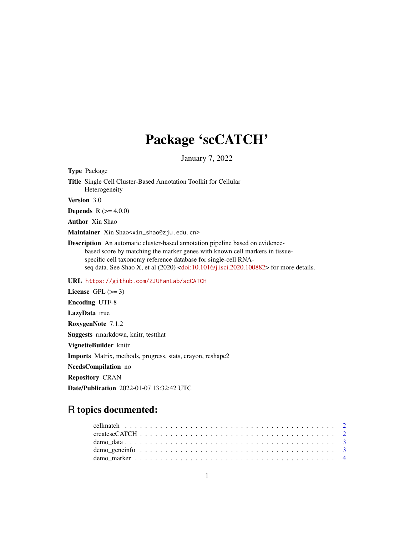## Package 'scCATCH'

January 7, 2022

Type Package Title Single Cell Cluster-Based Annotation Toolkit for Cellular Heterogeneity

Version 3.0

**Depends** R  $(>= 4.0.0)$ 

Author Xin Shao

Maintainer Xin Shao<xin\_shao@zju.edu.cn>

Description An automatic cluster-based annotation pipeline based on evidencebased score by matching the marker genes with known cell markers in tissuespecific cell taxonomy reference database for single-cell RNAseq data. See Shao X, et al  $(2020)$  [<doi:10.1016/j.isci.2020.100882>](https://doi.org/10.1016/j.isci.2020.100882) for more details.

### URL <https://github.com/ZJUFanLab/scCATCH>

License GPL  $(>= 3)$ Encoding UTF-8 LazyData true RoxygenNote 7.1.2 Suggests rmarkdown, knitr, testthat VignetteBuilder knitr Imports Matrix, methods, progress, stats, crayon, reshape2 NeedsCompilation no Repository CRAN

Date/Publication 2022-01-07 13:32:42 UTC

## R topics documented: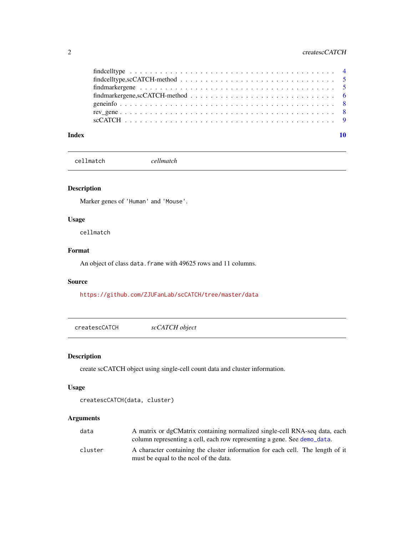## <span id="page-1-0"></span>2 createscCATCH

| $f$ indmarkergene,scCATCH-method $\ldots \ldots \ldots \ldots \ldots \ldots \ldots \ldots \ldots \ldots \ldots$ |  |
|-----------------------------------------------------------------------------------------------------------------|--|
|                                                                                                                 |  |
|                                                                                                                 |  |
|                                                                                                                 |  |
|                                                                                                                 |  |

#### $\blacksquare$

<span id="page-1-2"></span>cellmatch *cellmatch*

## Description

Marker genes of 'Human' and 'Mouse'.

### Usage

cellmatch

## Format

An object of class data. frame with 49625 rows and 11 columns.

#### Source

<https://github.com/ZJUFanLab/scCATCH/tree/master/data>

<span id="page-1-1"></span>createscCATCH *scCATCH object*

### Description

create scCATCH object using single-cell count data and cluster information.

## Usage

```
createscCATCH(data, cluster)
```
### Arguments

| data    | A matrix or dgCMatrix containing normalized single-cell RNA-seq data, each           |
|---------|--------------------------------------------------------------------------------------|
|         | column representing a cell, each row representing a gene. See demo <sub>data</sub> . |
| cluster | A character containing the cluster information for each cell. The length of it       |
|         | must be equal to the nool of the data.                                               |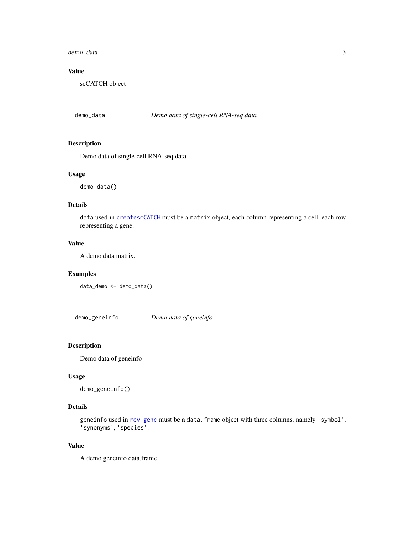### <span id="page-2-0"></span>demo\_data 3

## Value

scCATCH object

## <span id="page-2-1"></span>demo\_data *Demo data of single-cell RNA-seq data*

### Description

Demo data of single-cell RNA-seq data

#### Usage

demo\_data()

## Details

data used in [createscCATCH](#page-1-1) must be a matrix object, each column representing a cell, each row representing a gene.

#### Value

A demo data matrix.

### Examples

data\_demo <- demo\_data()

demo\_geneinfo *Demo data of geneinfo*

### Description

Demo data of geneinfo

#### Usage

demo\_geneinfo()

### Details

geneinfo used in [rev\\_gene](#page-7-1) must be a data.frame object with three columns, namely 'symbol', 'synonyms', 'species'.

#### Value

A demo geneinfo data.frame.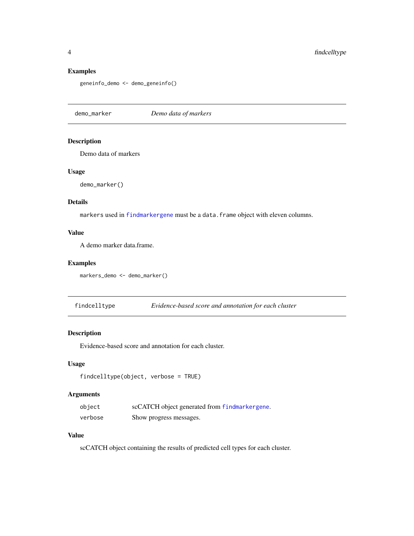#### Examples

```
geneinfo_demo <- demo_geneinfo()
```
<span id="page-3-1"></span>demo\_marker *Demo data of markers*

### Description

Demo data of markers

#### Usage

demo\_marker()

#### Details

markers used in [findmarkergene](#page-4-1) must be a data.frame object with eleven columns.

#### Value

A demo marker data.frame.

### Examples

markers\_demo <- demo\_marker()

findcelltype *Evidence-based score and annotation for each cluster*

## Description

Evidence-based score and annotation for each cluster.

#### Usage

```
findcelltype(object, verbose = TRUE)
```
## Arguments

| object  | scCATCH object generated from findmarkergene. |
|---------|-----------------------------------------------|
| verbose | Show progress messages.                       |

## Value

scCATCH object containing the results of predicted cell types for each cluster.

<span id="page-3-0"></span>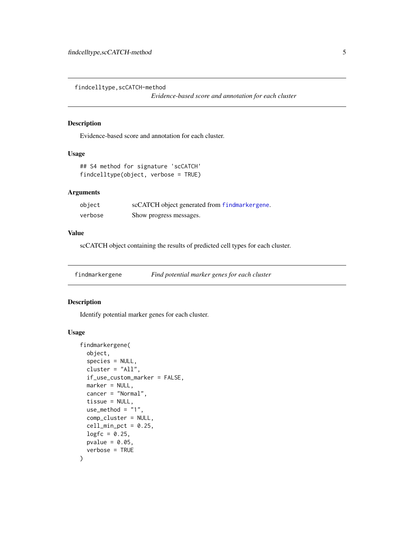<span id="page-4-0"></span>findcelltype,scCATCH-method

*Evidence-based score and annotation for each cluster*

## Description

Evidence-based score and annotation for each cluster.

#### Usage

```
## S4 method for signature 'scCATCH'
findcelltype(object, verbose = TRUE)
```
## Arguments

| object  | scCATCH object generated from findmarkergene. |
|---------|-----------------------------------------------|
| verbose | Show progress messages.                       |

#### Value

scCATCH object containing the results of predicted cell types for each cluster.

<span id="page-4-1"></span>findmarkergene *Find potential marker genes for each cluster*

#### Description

Identify potential marker genes for each cluster.

#### Usage

```
findmarkergene(
  object,
  species = NULL,
 cluster = "All",
  if_use_custom_marker = FALSE,
 marker = NULL,
 cancer = "Normal",
  tissue = NULL,
 use_method = "1",comp_cluster = NULL,
 cell\_min\_pot = 0.25,
 logfc = 0.25,
 pvalue = 0.05,
  verbose = TRUE
)
```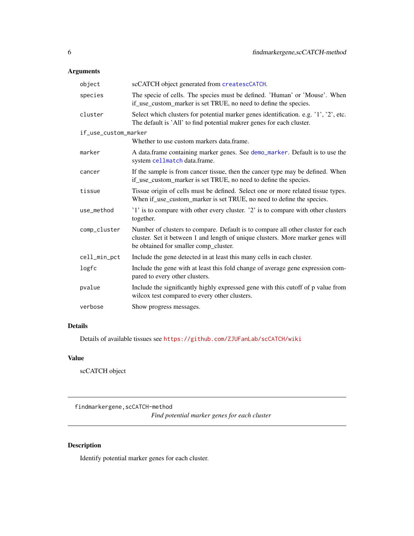## <span id="page-5-0"></span>Arguments

| object               | scCATCH object generated from createscCATCH.                                                                                                                                                                |
|----------------------|-------------------------------------------------------------------------------------------------------------------------------------------------------------------------------------------------------------|
| species              | The specie of cells. The species must be defined. 'Human' or 'Mouse'. When<br>if_use_custom_marker is set TRUE, no need to define the species.                                                              |
| cluster              | Select which clusters for potential marker genes identification. e.g. '1', '2', etc.<br>The default is 'All' to find potential makrer genes for each cluster.                                               |
| if_use_custom_marker |                                                                                                                                                                                                             |
|                      | Whether to use custom markers data.frame.                                                                                                                                                                   |
| marker               | A data.frame containing marker genes. See demo_marker. Default is to use the<br>system cellmatch data.frame.                                                                                                |
| cancer               | If the sample is from cancer tissue, then the cancer type may be defined. When<br>if use custom marker is set TRUE, no need to define the species.                                                          |
| tissue               | Tissue origin of cells must be defined. Select one or more related tissue types.<br>When if_use_custom_marker is set TRUE, no need to define the species.                                                   |
| use method           | '1' is to compare with other every cluster. '2' is to compare with other clusters<br>together.                                                                                                              |
| comp_cluster         | Number of clusters to compare. Default is to compare all other cluster for each<br>cluster. Set it between 1 and length of unique clusters. More marker genes will<br>be obtained for smaller comp_cluster. |
| cell_min_pct         | Include the gene detected in at least this many cells in each cluster.                                                                                                                                      |
| logfc                | Include the gene with at least this fold change of average gene expression com-<br>pared to every other clusters.                                                                                           |
| pvalue               | Include the significantly highly expressed gene with this cutoff of p value from<br>wilcox test compared to every other clusters.                                                                           |
| verbose              | Show progress messages.                                                                                                                                                                                     |

## Details

Details of available tissues see <https://github.com/ZJUFanLab/scCATCH/wiki>

## Value

scCATCH object

findmarkergene,scCATCH-method

*Find potential marker genes for each cluster*

## Description

Identify potential marker genes for each cluster.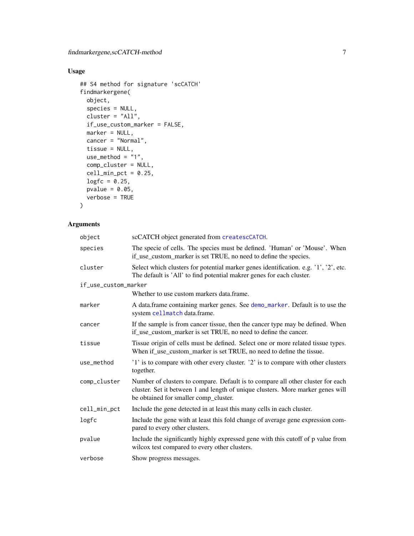## <span id="page-6-0"></span>Usage

```
## S4 method for signature 'scCATCH'
findmarkergene(
 object,
 species = NULL,
 cluster = "All",
 if_use_custom_marker = FALSE,
 marker = NULL,
 cancer = "Normal",
 tissue = NULL,
 use_method = "1",comp_cluster = NULL,
 cell\_min\_pot = 0.25,logfc = 0.25,
 pvalue = 0.05,
 verbose = TRUE
)
```
## Arguments

| object               | scCATCH object generated from createscCATCH.                                                                                                                                                                |
|----------------------|-------------------------------------------------------------------------------------------------------------------------------------------------------------------------------------------------------------|
| species              | The specie of cells. The species must be defined. 'Human' or 'Mouse'. When<br>if_use_custom_marker is set TRUE, no need to define the species.                                                              |
| cluster              | Select which clusters for potential marker genes identification. e.g. '1', '2', etc.<br>The default is 'All' to find potential makrer genes for each cluster.                                               |
| if_use_custom_marker |                                                                                                                                                                                                             |
|                      | Whether to use custom markers data frame.                                                                                                                                                                   |
| marker               | A data.frame containing marker genes. See demo_marker. Default is to use the<br>system cellmatch data.frame.                                                                                                |
| cancer               | If the sample is from cancer tissue, then the cancer type may be defined. When<br>if_use_custom_marker is set TRUE, no need to define the cancer.                                                           |
| tissue               | Tissue origin of cells must be defined. Select one or more related tissue types.<br>When if use custom marker is set TRUE, no need to define the tissue.                                                    |
| use_method           | '1' is to compare with other every cluster. '2' is to compare with other clusters<br>together.                                                                                                              |
| comp_cluster         | Number of clusters to compare. Default is to compare all other cluster for each<br>cluster. Set it between 1 and length of unique clusters. More marker genes will<br>be obtained for smaller comp_cluster. |
| cell_min_pct         | Include the gene detected in at least this many cells in each cluster.                                                                                                                                      |
| logfc                | Include the gene with at least this fold change of average gene expression com-<br>pared to every other clusters.                                                                                           |
| pvalue               | Include the significantly highly expressed gene with this cutoff of p value from<br>wilcox test compared to every other clusters.                                                                           |
| verbose              | Show progress messages.                                                                                                                                                                                     |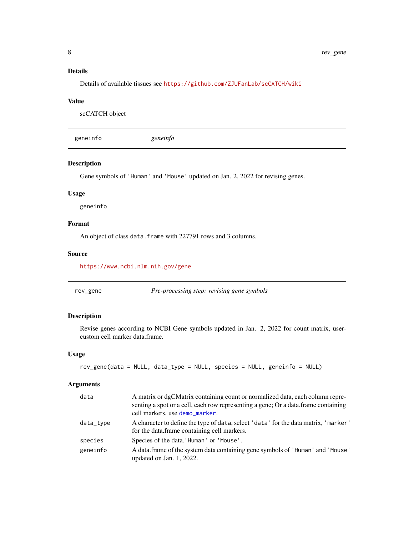## <span id="page-7-0"></span>Details

Details of available tissues see <https://github.com/ZJUFanLab/scCATCH/wiki>

#### Value

scCATCH object

geneinfo *geneinfo*

### Description

Gene symbols of 'Human' and 'Mouse' updated on Jan. 2, 2022 for revising genes.

#### Usage

geneinfo

## Format

An object of class data. frame with 227791 rows and 3 columns.

#### Source

<https://www.ncbi.nlm.nih.gov/gene>

<span id="page-7-1"></span>rev\_gene *Pre-processing step: revising gene symbols*

## Description

Revise genes according to NCBI Gene symbols updated in Jan. 2, 2022 for count matrix, usercustom cell marker data.frame.

#### Usage

```
rev_gene(data = NULL, data_type = NULL, species = NULL, geneinfo = NULL)
```
#### Arguments

| data      | A matrix or dgCMatrix containing count or normalized data, each column repre-<br>senting a spot or a cell, each row representing a gene; Or a data.frame containing<br>cell markers, use demo_marker. |
|-----------|-------------------------------------------------------------------------------------------------------------------------------------------------------------------------------------------------------|
| data_type | A character to define the type of data, select 'data' for the data matrix, 'marker'<br>for the data.frame containing cell markers.                                                                    |
| species   | Species of the data. 'Human' or 'Mouse'.                                                                                                                                                              |
| geneinfo  | A data.frame of the system data containing gene symbols of 'Human' and 'Mouse'<br>updated on Jan. 1, 2022.                                                                                            |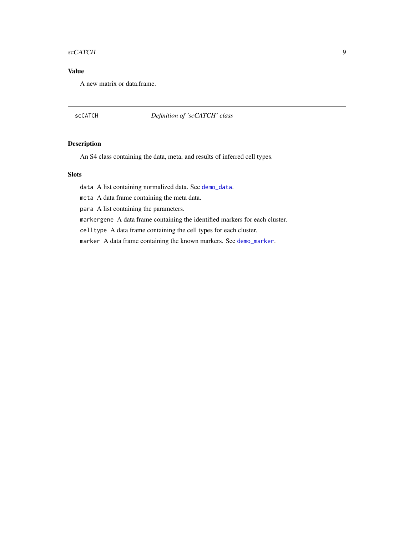#### <span id="page-8-0"></span>scCATCH 9

## Value

A new matrix or data.frame.

## scCATCH *Definition of 'scCATCH' class*

### Description

An S4 class containing the data, meta, and results of inferred cell types.

#### Slots

data A list containing normalized data. See [demo\\_data](#page-2-1).

meta A data frame containing the meta data.

para A list containing the parameters.

markergene A data frame containing the identified markers for each cluster.

celltype A data frame containing the cell types for each cluster.

marker A data frame containing the known markers. See [demo\\_marker](#page-3-1).